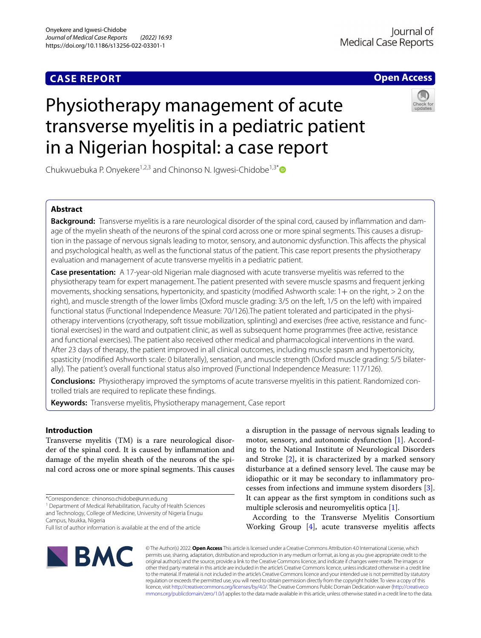# **CASE REPORT**

# **Open Access**

# Physiotherapy management of acute transverse myelitis in a pediatric patient in a Nigerian hospital: a case report



Chukwuebuka P. Onyekere<sup>1,2,3</sup> and Chinonso N. Igwesi-Chidobe<sup>1,3[\\*](http://orcid.org/0000-0001-8021-0283)</sup>

# **Abstract**

**Background:** Transverse myelitis is a rare neurological disorder of the spinal cord, caused by inflammation and damage of the myelin sheath of the neurons of the spinal cord across one or more spinal segments. This causes a disruption in the passage of nervous signals leading to motor, sensory, and autonomic dysfunction. This afects the physical and psychological health, as well as the functional status of the patient. This case report presents the physiotherapy evaluation and management of acute transverse myelitis in a pediatric patient.

**Case presentation:** A 17-year-old Nigerian male diagnosed with acute transverse myelitis was referred to the physiotherapy team for expert management. The patient presented with severe muscle spasms and frequent jerking movements, shocking sensations, hypertonicity, and spasticity (modified Ashworth scale: 1+ on the right, > 2 on the right), and muscle strength of the lower limbs (Oxford muscle grading: 3/5 on the left, 1/5 on the left) with impaired functional status (Functional Independence Measure: 70/126). The patient tolerated and participated in the physiotherapy interventions (cryotherapy, soft tissue mobilization, splinting) and exercises (free active, resistance and func‑ tional exercises) in the ward and outpatient clinic, as well as subsequent home programmes (free active, resistance and functional exercises). The patient also received other medical and pharmacological interventions in the ward. After 23 days of therapy, the patient improved in all clinical outcomes, including muscle spasm and hypertonicity, spasticity (modified Ashworth scale: 0 bilaterally), sensation, and muscle strength (Oxford muscle grading: 5/5 bilaterally). The patient's overall functional status also improved (Functional Independence Measure: 117/126).

**Conclusions:** Physiotherapy improved the symptoms of acute transverse myelitis in this patient. Randomized con‑ trolled trials are required to replicate these fndings.

**Keywords:** Transverse myelitis, Physiotherapy management, Case report

# **Introduction**

Transverse myelitis (TM) is a rare neurological disorder of the spinal cord. It is caused by infammation and damage of the myelin sheath of the neurons of the spinal cord across one or more spinal segments. This causes

<sup>1</sup> Department of Medical Rehabilitation, Faculty of Health Sciences and Technology, College of Medicine, University of Nigeria Enugu Campus, Nsukka, Nigeria

a disruption in the passage of nervous signals leading to motor, sensory, and autonomic dysfunction [[1\]](#page-7-0). According to the National Institute of Neurological Disorders and Stroke [\[2](#page-7-1)], it is characterized by a marked sensory disturbance at a defined sensory level. The cause may be idiopathic or it may be secondary to infammatory processes from infections and immune system disorders [\[3](#page-7-2)]. It can appear as the frst symptom in conditions such as multiple sclerosis and neuromyelitis optica [[1](#page-7-0)].

According to the Transverse Myelitis Consortium Working Group [\[4](#page-7-3)], acute transverse myelitis afects



© The Author(s) 2022. **Open Access** This article is licensed under a Creative Commons Attribution 4.0 International License, which permits use, sharing, adaptation, distribution and reproduction in any medium or format, as long as you give appropriate credit to the original author(s) and the source, provide a link to the Creative Commons licence, and indicate if changes were made. The images or other third party material in this article are included in the article's Creative Commons licence, unless indicated otherwise in a credit line to the material. If material is not included in the article's Creative Commons licence and your intended use is not permitted by statutory regulation or exceeds the permitted use, you will need to obtain permission directly from the copyright holder. To view a copy of this licence, visit [http://creativecommons.org/licenses/by/4.0/.](http://creativecommons.org/licenses/by/4.0/) The Creative Commons Public Domain Dedication waiver ([http://creativeco](http://creativecommons.org/publicdomain/zero/1.0/) [mmons.org/publicdomain/zero/1.0/](http://creativecommons.org/publicdomain/zero/1.0/)) applies to the data made available in this article, unless otherwise stated in a credit line to the data.

<sup>\*</sup>Correspondence: chinonso.chidobe@unn.edu.ng

Full list of author information is available at the end of the article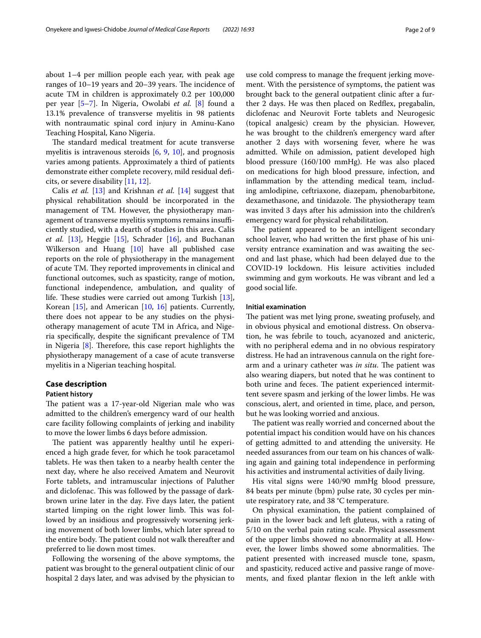about 1–4 per million people each year, with peak age ranges of  $10-19$  years and  $20-39$  years. The incidence of acute TM in children is approximately 0.2 per 100,000 per year [[5–](#page-7-4)[7](#page-7-5)]. In Nigeria, Owolabi *et al.* [[8\]](#page-7-6) found a 13.1% prevalence of transverse myelitis in 98 patients with nontraumatic spinal cord injury in Aminu-Kano Teaching Hospital, Kano Nigeria.

The standard medical treatment for acute transverse myelitis is intravenous steroids [\[6](#page-7-7), [9,](#page-7-8) [10](#page-7-9)], and prognosis varies among patients. Approximately a third of patients demonstrate either complete recovery, mild residual defcits, or severe disability [\[11](#page-7-10), [12](#page-7-11)].

Calis *et al.* [\[13](#page-7-12)] and Krishnan *et al.* [\[14](#page-7-13)] suggest that physical rehabilitation should be incorporated in the management of TM. However, the physiotherapy management of transverse myelitis symptoms remains insufficiently studied, with a dearth of studies in this area. Calis *et al.* [\[13](#page-7-12)], Heggie [\[15](#page-7-14)], Schrader [\[16](#page-7-15)], and Buchanan Wilkerson and Huang [[10\]](#page-7-9) have all published case reports on the role of physiotherapy in the management of acute TM. They reported improvements in clinical and functional outcomes, such as spasticity, range of motion, functional independence, ambulation, and quality of life. These studies were carried out among Turkish  $[13]$  $[13]$ , Korean [\[15](#page-7-14)], and American [\[10](#page-7-9), [16\]](#page-7-15) patients. Currently, there does not appear to be any studies on the physiotherapy management of acute TM in Africa, and Nigeria specifcally, despite the signifcant prevalence of TM in Nigeria  $[8]$  $[8]$ . Therefore, this case report highlights the physiotherapy management of a case of acute transverse myelitis in a Nigerian teaching hospital.

# **Case description**

# **Patient history**

The patient was a 17-year-old Nigerian male who was admitted to the children's emergency ward of our health care facility following complaints of jerking and inability to move the lower limbs 6 days before admission.

The patient was apparently healthy until he experienced a high grade fever, for which he took paracetamol tablets. He was then taken to a nearby health center the next day, where he also received Amatem and Neurovit Forte tablets, and intramuscular injections of Paluther and diclofenac. This was followed by the passage of darkbrown urine later in the day. Five days later, the patient started limping on the right lower limb. This was followed by an insidious and progressively worsening jerking movement of both lower limbs, which later spread to the entire body. The patient could not walk thereafter and preferred to lie down most times.

Following the worsening of the above symptoms, the patient was brought to the general outpatient clinic of our hospital 2 days later, and was advised by the physician to use cold compress to manage the frequent jerking movement. With the persistence of symptoms, the patient was brought back to the general outpatient clinic after a further 2 days. He was then placed on Redfex, pregabalin, diclofenac and Neurovit Forte tablets and Neurogesic (topical analgesic) cream by the physician. However, he was brought to the children's emergency ward after another 2 days with worsening fever, where he was admitted. While on admission, patient developed high blood pressure (160/100 mmHg). He was also placed on medications for high blood pressure, infection, and infammation by the attending medical team, including amlodipine, ceftriaxone, diazepam, phenobarbitone, dexamethasone, and tinidazole. The physiotherapy team was invited 3 days after his admission into the children's emergency ward for physical rehabilitation.

The patient appeared to be an intelligent secondary school leaver, who had written the frst phase of his university entrance examination and was awaiting the second and last phase, which had been delayed due to the COVID-19 lockdown. His leisure activities included swimming and gym workouts. He was vibrant and led a good social life.

# **Initial examination**

The patient was met lying prone, sweating profusely, and in obvious physical and emotional distress. On observation, he was febrile to touch, acyanozed and anicteric, with no peripheral edema and in no obvious respiratory distress. He had an intravenous cannula on the right forearm and a urinary catheter was *in situ*. The patient was also wearing diapers, but noted that he was continent to both urine and feces. The patient experienced intermittent severe spasm and jerking of the lower limbs. He was conscious, alert, and oriented in time, place, and person, but he was looking worried and anxious.

The patient was really worried and concerned about the potential impact his condition would have on his chances of getting admitted to and attending the university. He needed assurances from our team on his chances of walking again and gaining total independence in performing his activities and instrumental activities of daily living.

His vital signs were 140/90 mmHg blood pressure, 84 beats per minute (bpm) pulse rate, 30 cycles per minute respiratory rate, and 38 °C temperature.

On physical examination, the patient complained of pain in the lower back and left gluteus, with a rating of 5/10 on the verbal pain rating scale. Physical assessment of the upper limbs showed no abnormality at all. However, the lower limbs showed some abnormalities. The patient presented with increased muscle tone, spasm, and spasticity, reduced active and passive range of movements, and fxed plantar fexion in the left ankle with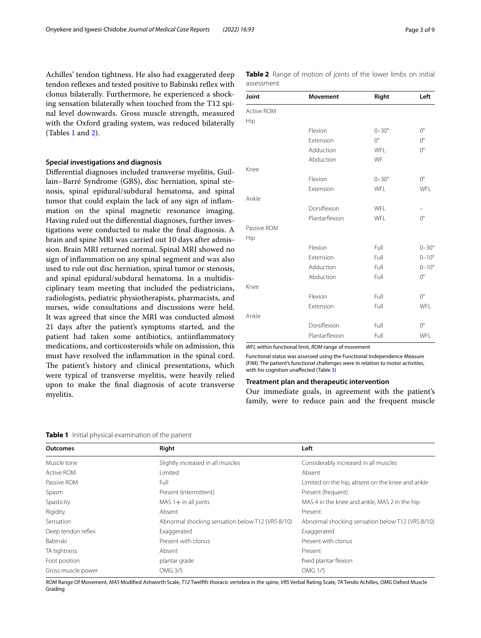Achilles' tendon tightness. He also had exaggerated deep tendon reflexes and tested positive to Babinski reflex with clonus bilaterally. Furthermore, he experienced a shocking sensation bilaterally when touched from the T12 spinal level downwards. Gross muscle strength, measured with the Oxford grading system, was reduced bilaterally (Tables [1](#page-2-0) and [2](#page-2-1)).

## **Special investigations and diagnosis**

Diferential diagnoses included transverse myelitis, Guillain–Barré Syndrome (GBS), disc herniation, spinal stenosis, spinal epidural/subdural hematoma, and spinal tumor that could explain the lack of any sign of infammation on the spinal magnetic resonance imaging. Having ruled out the diferential diagnoses, further investigations were conducted to make the fnal diagnosis. A brain and spine MRI was carried out 10 days after admission. Brain MRI returned normal. Spinal MRI showed no sign of infammation on any spinal segment and was also used to rule out disc herniation, spinal tumor or stenosis, and spinal epidural/subdural hematoma. In a multidisciplinary team meeting that included the pediatricians, radiologists, pediatric physiotherapists, pharmacists, and nurses, wide consultations and discussions were held. It was agreed that since the MRI was conducted almost 21 days after the patient's symptoms started, and the patient had taken some antibiotics, antiinfammatory medications, and corticosteroids while on admission, this must have resolved the infammation in the spinal cord. The patient's history and clinical presentations, which were typical of transverse myelitis, were heavily relied upon to make the fnal diagnosis of acute transverse myelitis.

<span id="page-2-1"></span>**Table 2** Range of motion of joints of the lower limbs on initial assessment

| Joint       | <b>Movement</b> | Right            | Left             |
|-------------|-----------------|------------------|------------------|
| Active ROM  |                 |                  |                  |
| Hip         |                 |                  |                  |
|             | Flexion         | $0 - 30^{\circ}$ | $O^{\circ}$      |
|             | Extension       | $0^{\circ}$      | $O^{\circ}$      |
|             | Adduction       | WFL              | $O^{\circ}$      |
|             | Abduction       | WF               |                  |
| Knee        |                 |                  |                  |
|             | Flexion         | $0 - 30^{\circ}$ | $0^{\circ}$      |
|             | Extension       | <b>WFL</b>       | WFL              |
| Ankle       |                 |                  |                  |
|             | Dorsiflexion    | <b>WFI</b>       |                  |
|             | Plantarflexion  | WFL              | $O^{\circ}$      |
| Passive ROM |                 |                  |                  |
| Hip         |                 |                  |                  |
|             | Flexion         | Full             | $0 - 30^{\circ}$ |
|             | Extension       | Full             | $0 - 10^{\circ}$ |
|             | Adduction       | Full             | $0 - 10^{\circ}$ |
|             | Abduction       | Full             | $O^{\circ}$      |
| Knee        |                 |                  |                  |
|             | Flexion         | Full             | $0^{\circ}$      |
|             | Extension       | Full             | WFL              |
| Ankle       |                 |                  |                  |
|             | Dorsiflexion    | Full             | $0^{\circ}$      |
|             | Plantarflexion  | Full             | WFL              |

*WFL* within functional limit, *ROM* range of movement

Functional status was assessed using the Functional Independence Measure (FIM). The patient's functional challenges were in relation to motor activities, with his cognition unafected (Table [3](#page-4-0))

# **Treatment plan and therapeutic intervention**

Our immediate goals, in agreement with the patient's family, were to reduce pain and the frequent muscle

<span id="page-2-0"></span>**Table 1** Initial physical examination of the patient

| <b>Outcomes</b>    | Right                                            | Left                                             |
|--------------------|--------------------------------------------------|--------------------------------------------------|
| Muscle tone        | Slightly increased in all muscles                | Considerably increased in all muscles            |
| <b>Active ROM</b>  | Limited                                          | Absent                                           |
| Passive ROM        | Full                                             | Limited on the hip, absent on the knee and ankle |
| Spasm              | Present (intermittent)                           | Present (frequent)                               |
| Spasticity         | $MAS 1 + in all joints$                          | MAS 4 in the knee and ankle, MAS 2 in the hip    |
| Rigidity           | Absent                                           | Present                                          |
| Sensation          | Abnormal shocking sensation below T12 (VRS 8/10) | Abnormal shocking sensation below T12 (VRS 8/10) |
| Deep tendon reflex | Exaggerated                                      | Exaggerated                                      |
| Babinski           | Present with clonus                              | Present with clonus                              |
| TA tightness       | Absent                                           | Present                                          |
| Foot position      | plantar grade                                    | fixed plantar flexion                            |
| Gross muscle power | OMG 3/5                                          | <b>OMG 1/5</b>                                   |

*ROM* Range Of Movement, *MAS* Modifed Ashworth Scale, *T12* Twelfth thoracic vertebra in the spine, *VRS* Verbal Rating Scale, *TA* Tendo Achilles, *OMG* Oxford Muscle Grading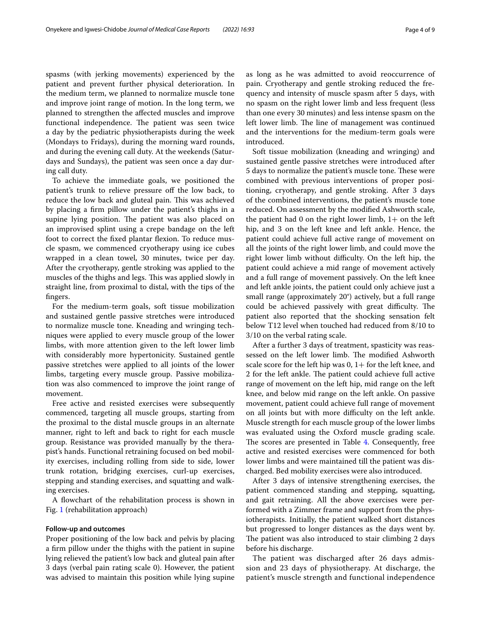spasms (with jerking movements) experienced by the patient and prevent further physical deterioration. In the medium term, we planned to normalize muscle tone and improve joint range of motion. In the long term, we planned to strengthen the afected muscles and improve functional independence. The patient was seen twice a day by the pediatric physiotherapists during the week (Mondays to Fridays), during the morning ward rounds, and during the evening call duty. At the weekends (Saturdays and Sundays), the patient was seen once a day during call duty.

To achieve the immediate goals, we positioned the patient's trunk to relieve pressure of the low back, to reduce the low back and gluteal pain. This was achieved by placing a frm pillow under the patient's thighs in a supine lying position. The patient was also placed on an improvised splint using a crepe bandage on the left foot to correct the fxed plantar fexion. To reduce muscle spasm, we commenced cryotherapy using ice cubes wrapped in a clean towel, 30 minutes, twice per day. After the cryotherapy, gentle stroking was applied to the muscles of the thighs and legs. This was applied slowly in straight line, from proximal to distal, with the tips of the fngers.

For the medium-term goals, soft tissue mobilization and sustained gentle passive stretches were introduced to normalize muscle tone. Kneading and wringing techniques were applied to every muscle group of the lower limbs, with more attention given to the left lower limb with considerably more hypertonicity. Sustained gentle passive stretches were applied to all joints of the lower limbs, targeting every muscle group. Passive mobilization was also commenced to improve the joint range of movement.

Free active and resisted exercises were subsequently commenced, targeting all muscle groups, starting from the proximal to the distal muscle groups in an alternate manner, right to left and back to right for each muscle group. Resistance was provided manually by the therapist's hands. Functional retraining focused on bed mobility exercises, including rolling from side to side, lower trunk rotation, bridging exercises, curl-up exercises, stepping and standing exercises, and squatting and walking exercises.

A fowchart of the rehabilitation process is shown in Fig. [1](#page-5-0) (rehabilitation approach)

# **Follow‑up and outcomes**

Proper positioning of the low back and pelvis by placing a frm pillow under the thighs with the patient in supine lying relieved the patient's low back and gluteal pain after 3 days (verbal pain rating scale 0). However, the patient was advised to maintain this position while lying supine as long as he was admitted to avoid reoccurrence of pain. Cryotherapy and gentle stroking reduced the frequency and intensity of muscle spasm after 5 days, with no spasm on the right lower limb and less frequent (less than one every 30 minutes) and less intense spasm on the left lower limb. The line of management was continued and the interventions for the medium-term goals were introduced.

Soft tissue mobilization (kneading and wringing) and sustained gentle passive stretches were introduced after 5 days to normalize the patient's muscle tone. These were combined with previous interventions of proper positioning, cryotherapy, and gentle stroking. After 3 days of the combined interventions, the patient's muscle tone reduced. On assessment by the modifed Ashworth scale, the patient had 0 on the right lower limb,  $1+$  on the left hip, and 3 on the left knee and left ankle. Hence, the patient could achieve full active range of movement on all the joints of the right lower limb, and could move the right lower limb without difficulty. On the left hip, the patient could achieve a mid range of movement actively and a full range of movement passively. On the left knee and left ankle joints, the patient could only achieve just a small range (approximately 20°) actively, but a full range could be achieved passively with great difficulty. The patient also reported that the shocking sensation felt below T12 level when touched had reduced from 8/10 to 3/10 on the verbal rating scale.

After a further 3 days of treatment, spasticity was reassessed on the left lower limb. The modified Ashworth scale score for the left hip was  $0, 1+$  for the left knee, and 2 for the left ankle. The patient could achieve full active range of movement on the left hip, mid range on the left knee, and below mid range on the left ankle. On passive movement, patient could achieve full range of movement on all joints but with more difficulty on the left ankle. Muscle strength for each muscle group of the lower limbs was evaluated using the Oxford muscle grading scale. The scores are presented in Table [4](#page-6-0). Consequently, free active and resisted exercises were commenced for both lower limbs and were maintained till the patient was discharged. Bed mobility exercises were also introduced.

After 3 days of intensive strengthening exercises, the patient commenced standing and stepping, squatting, and gait retraining. All the above exercises were performed with a Zimmer frame and support from the physiotherapists. Initially, the patient walked short distances but progressed to longer distances as the days went by. The patient was also introduced to stair climbing 2 days before his discharge.

The patient was discharged after 26 days admission and 23 days of physiotherapy. At discharge, the patient's muscle strength and functional independence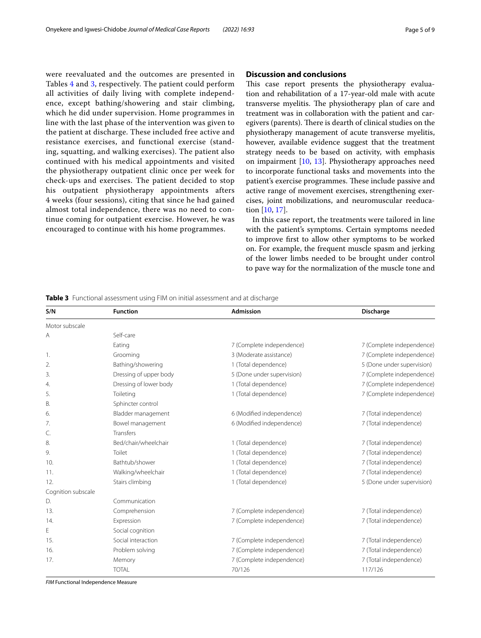were reevaluated and the outcomes are presented in Tables [4](#page-6-0) and [3](#page-4-0), respectively. The patient could perform all activities of daily living with complete independence, except bathing/showering and stair climbing, which he did under supervision. Home programmes in line with the last phase of the intervention was given to the patient at discharge. These included free active and resistance exercises, and functional exercise (standing, squatting, and walking exercises). The patient also continued with his medical appointments and visited the physiotherapy outpatient clinic once per week for check-ups and exercises. The patient decided to stop his outpatient physiotherapy appointments afters 4 weeks (four sessions), citing that since he had gained almost total independence, there was no need to continue coming for outpatient exercise. However, he was encouraged to continue with his home programmes.

# **Discussion and conclusions**

This case report presents the physiotherapy evaluation and rehabilitation of a 17-year-old male with acute transverse myelitis. The physiotherapy plan of care and treatment was in collaboration with the patient and caregivers (parents). There is dearth of clinical studies on the physiotherapy management of acute transverse myelitis, however, available evidence suggest that the treatment strategy needs to be based on activity, with emphasis on impairment [[10](#page-7-9), [13\]](#page-7-12). Physiotherapy approaches need to incorporate functional tasks and movements into the patient's exercise programmes. These include passive and active range of movement exercises, strengthening exercises, joint mobilizations, and neuromuscular reeducation [[10,](#page-7-9) [17\]](#page-8-0).

In this case report, the treatments were tailored in line with the patient's symptoms. Certain symptoms needed to improve frst to allow other symptoms to be worked on. For example, the frequent muscle spasm and jerking of the lower limbs needed to be brought under control to pave way for the normalization of the muscle tone and

| S/N                | <b>Function</b>        | Admission                  | <b>Discharge</b>           |
|--------------------|------------------------|----------------------------|----------------------------|
| Motor subscale     |                        |                            |                            |
| Α                  | Self-care              |                            |                            |
|                    | Eating                 | 7 (Complete independence)  | 7 (Complete independence)  |
| 1.                 | Grooming               | 3 (Moderate assistance)    | 7 (Complete independence)  |
| 2.                 | Bathing/showering      | 1 (Total dependence)       | 5 (Done under supervision) |
| 3.                 | Dressing of upper body | 5 (Done under supervision) | 7 (Complete independence)  |
| 4.                 | Dressing of lower body | 1 (Total dependence)       | 7 (Complete independence)  |
| 5.                 | Toileting              | 1 (Total dependence)       | 7 (Complete independence)  |
| В.                 | Sphincter control      |                            |                            |
| 6.                 | Bladder management     | 6 (Modified independence)  | 7 (Total independence)     |
| 7.                 | Bowel management       | 6 (Modified independence)  | 7 (Total independence)     |
| C.                 | <b>Transfers</b>       |                            |                            |
| 8.                 | Bed/chair/wheelchair   | 1 (Total dependence)       | 7 (Total independence)     |
| 9.                 | Toilet                 | 1 (Total dependence)       | 7 (Total independence)     |
| 10.                | Bathtub/shower         | 1 (Total dependence)       | 7 (Total independence)     |
| 11.                | Walking/wheelchair     | 1 (Total dependence)       | 7 (Total independence)     |
| 12.                | Stairs climbing        | 1 (Total dependence)       | 5 (Done under supervision) |
| Cognition subscale |                        |                            |                            |
| D.                 | Communication          |                            |                            |
| 13.                | Comprehension          | 7 (Complete independence)  | 7 (Total independence)     |
| 14.                | Expression             | 7 (Complete independence)  | 7 (Total independence)     |
| Е                  | Social cognition       |                            |                            |
| 15.                | Social interaction     | 7 (Complete independence)  | 7 (Total independence)     |
| 16.                | Problem solving        | 7 (Complete independence)  | 7 (Total independence)     |
| 17.                | Memory                 | 7 (Complete independence)  | 7 (Total independence)     |
|                    | <b>TOTAL</b>           | 70/126                     | 117/126                    |
|                    |                        |                            |                            |

<span id="page-4-0"></span>**Table 3** Functional assessment using FIM on initial assessment and at discharge

*FIM* Functional Independence Measure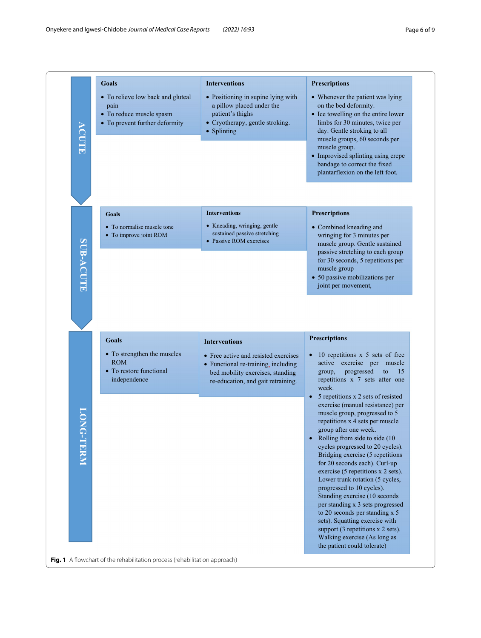<span id="page-5-0"></span>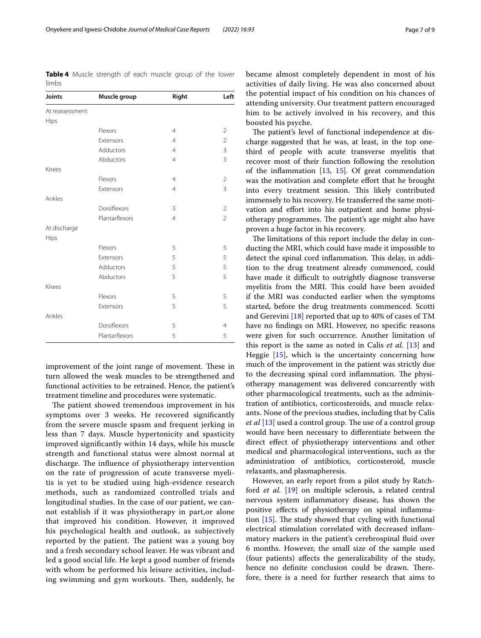Onyekere and Igwesi‑Chidobe *Journal of Medical Case Reports (2022) 16:93* Page 7 of 9

| <b>ULLIN</b>    |                |                |                |  |
|-----------------|----------------|----------------|----------------|--|
| Joints          | Muscle group   | Right          | Left           |  |
| At reassessment |                |                |                |  |
| Hips            |                |                |                |  |
|                 | Flexors        | $\overline{4}$ | 2              |  |
|                 | Extensors      | $\overline{4}$ | $\overline{2}$ |  |
|                 | Adductors      | $\overline{4}$ | 3              |  |
|                 | Abductors      | $\overline{4}$ | 3              |  |
| Knees           |                |                |                |  |
|                 | Flexors        | $\overline{4}$ | $\overline{2}$ |  |
|                 | Extensors      | $\overline{4}$ | 3              |  |
| Ankles          |                |                |                |  |
|                 | Dorsiflexors   | 3              | $\overline{2}$ |  |
|                 | Plantarflexors | $\overline{4}$ | $\overline{2}$ |  |
| At discharge    |                |                |                |  |
| Hips            |                |                |                |  |
|                 | Flexors        | 5              | 5              |  |
|                 | Extensors      | 5              | 5              |  |
|                 | Adductors      | 5              | 5              |  |
|                 | Abductors      | 5              | 5              |  |
| Knees           |                |                |                |  |
|                 | Flexors        | 5              | 5              |  |
|                 | Extensors      | 5              | 5              |  |
| Ankles          |                |                |                |  |
|                 | Dorsiflexors   | 5              | $\overline{4}$ |  |
|                 | Plantarflexors | 5              | 5              |  |

<span id="page-6-0"></span>**Table 4** Muscle strength of each muscle group of the lower limbs

improvement of the joint range of movement. These in turn allowed the weak muscles to be strengthened and functional activities to be retrained. Hence, the patient's treatment timeline and procedures were systematic.

The patient showed tremendous improvement in his symptoms over 3 weeks. He recovered signifcantly from the severe muscle spasm and frequent jerking in less than 7 days. Muscle hypertonicity and spasticity improved signifcantly within 14 days, while his muscle strength and functional status were almost normal at discharge. The influence of physiotherapy intervention on the rate of progression of acute transverse myelitis is yet to be studied using high-evidence research methods, such as randomized controlled trials and longitudinal studies. In the case of our patient, we cannot establish if it was physiotherapy in part,or alone that improved his condition. However, it improved his psychological health and outlook, as subjectively reported by the patient. The patient was a young boy and a fresh secondary school leaver. He was vibrant and led a good social life. He kept a good number of friends with whom he performed his leisure activities, including swimming and gym workouts. Then, suddenly, he became almost completely dependent in most of his activities of daily living. He was also concerned about the potential impact of his condition on his chances of attending university. Our treatment pattern encouraged him to be actively involved in his recovery, and this boosted his psyche.

The patient's level of functional independence at discharge suggested that he was, at least, in the top onethird of people with acute transverse myelitis that recover most of their function following the resolution of the infammation [[13,](#page-7-12) [15](#page-7-14)]. Of great commendation was the motivation and complete effort that he brought into every treatment session. This likely contributed immensely to his recovery. He transferred the same motivation and efort into his outpatient and home physiotherapy programmes. The patient's age might also have proven a huge factor in his recovery.

The limitations of this report include the delay in conducting the MRI, which could have made it impossible to detect the spinal cord inflammation. This delay, in addition to the drug treatment already commenced, could have made it difficult to outrightly diagnose transverse myelitis from the MRI. This could have been avoided if the MRI was conducted earlier when the symptoms started, before the drug treatments commenced. Scotti and Gerevini [\[18](#page-8-1)] reported that up to 40% of cases of TM have no fndings on MRI. However, no specifc reasons were given for such occurrence. Another limitation of this report is the same as noted in Calis *et al.* [[13\]](#page-7-12) and Heggie [\[15\]](#page-7-14), which is the uncertainty concerning how much of the improvement in the patient was strictly due to the decreasing spinal cord inflammation. The physiotherapy management was delivered concurrently with other pharmacological treatments, such as the administration of antibiotics, corticosteroids, and muscle relaxants. None of the previous studies, including that by Calis *et al* [[13\]](#page-7-12) used a control group. The use of a control group would have been necessary to diferentiate between the direct efect of physiotherapy interventions and other medical and pharmacological interventions, such as the administration of antibiotics, corticosteroid, muscle relaxants, and plasmapheresis.

However, an early report from a pilot study by Ratchford *et al.* [[19\]](#page-8-2) on multiple sclerosis, a related central nervous system infammatory disease, has shown the positive efects of physiotherapy on spinal infammation  $[15]$  $[15]$  $[15]$ . The study showed that cycling with functional electrical stimulation correlated with decreased infammatory markers in the patient's cerebrospinal fuid over 6 months. However, the small size of the sample used (four patients) afects the generalizability of the study, hence no definite conclusion could be drawn. Therefore, there is a need for further research that aims to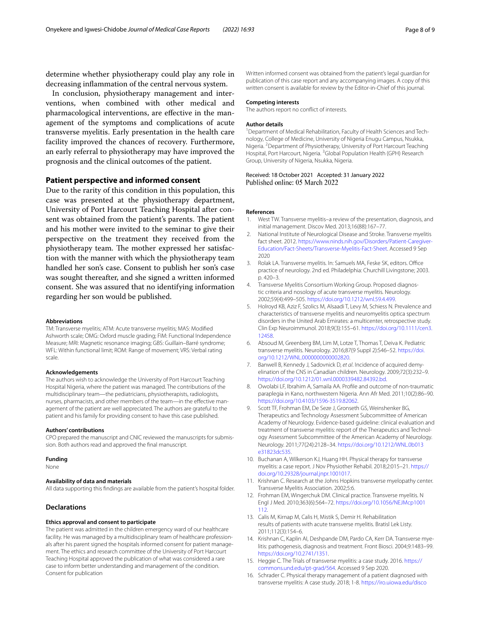determine whether physiotherapy could play any role in decreasing infammation of the central nervous system.

In conclusion, physiotherapy management and interventions, when combined with other medical and pharmacological interventions, are efective in the management of the symptoms and complications of acute transverse myelitis. Early presentation in the health care facility improved the chances of recovery. Furthermore, an early referral to physiotherapy may have improved the prognosis and the clinical outcomes of the patient.

# **Patient perspective and informed consent**

Due to the rarity of this condition in this population, this case was presented at the physiotherapy department, University of Port Harcourt Teaching Hospital after consent was obtained from the patient's parents. The patient and his mother were invited to the seminar to give their perspective on the treatment they received from the physiotherapy team. The mother expressed her satisfaction with the manner with which the physiotherapy team handled her son's case. Consent to publish her son's case was sought thereafter, and she signed a written informed consent. She was assured that no identifying information regarding her son would be published.

#### **Abbreviations**

TM: Transverse myelitis; ATM: Acute transverse myelitis; MAS: Modifed Ashworth scale; OMG: Oxford muscle grading; FIM: Functional Independence Measure; MRI: Magnetic resonance imaging; GBS: Guillain–Barré syndrome; WFL: Within functional limit; ROM: Range of movement; VRS: Verbal rating scale.

#### **Acknowledgements**

The authors wish to acknowledge the University of Port Harcourt Teaching Hospital Nigeria, where the patient was managed. The contributions of the multidisciplinary team—the pediatricians, physiotherapists, radiologists, nurses, pharmacists, and other members of the team-in the effective management of the patient are well appreciated. The authors are grateful to the patient and his family for providing consent to have this case published.

#### **Authors' contributions**

CPO prepared the manuscript and CNIC reviewed the manuscripts for submission. Both authors read and approved the fnal manuscript.

## **Funding**

None

## **Availability of data and materials**

All data supporting this fndings are available from the patient's hospital folder.

## **Declarations**

#### **Ethics approval and consent to participate**

The patient was admitted in the children emergency ward of our healthcare facility. He was managed by a multidisciplinary team of healthcare professionals after his parent signed the hospitals informed consent for patient management. The ethics and research committee of the University of Port Harcourt Teaching Hospital approved the publication of what was considered a rare case to inform better understanding and management of the condition. Consent for publication

Written informed consent was obtained from the patient's legal guardian for publication of this case report and any accompanying images. A copy of this written consent is available for review by the Editor-in-Chief of this journal.

#### **Competing interests**

The authors report no confict of interests.

#### **Author details**

<sup>1</sup> Department of Medical Rehabilitation, Faculty of Health Sciences and Technology, College of Medicine, University of Nigeria Enugu Campus, Nsukka, Nigeria. <sup>2</sup> Department of Physiotherapy, University of Port Harcourt Teaching Hospital, Port Harcourt, Nigeria. <sup>3</sup> Global Population Health (GPH) Research Group, University of Nigeria, Nsukka, Nigeria.

### Received: 18 October 2021 Accepted: 31 January 2022 Published online: 05 March 2022

#### **References**

- <span id="page-7-0"></span>1. West TW. Transverse myelitis–a review of the presentation, diagnosis, and initial management. Discov Med. 2013;16(88):167–77.
- <span id="page-7-1"></span>2. National Institute of Neurological Disease and Stroke. Transverse myelitis fact sheet. 2012. [https://www.ninds.nih.gov/Disorders/Patient-Caregiver-](https://www.ninds.nih.gov/Disorders/Patient-Caregiver-Education/Fact-Sheets/Transverse-Myelitis-Fact-Sheet) [Education/Fact-Sheets/Transverse-Myelitis-Fact-Sheet.](https://www.ninds.nih.gov/Disorders/Patient-Caregiver-Education/Fact-Sheets/Transverse-Myelitis-Fact-Sheet) Accessed 9 Sep 2020
- <span id="page-7-2"></span>3. Rolak LA. Transverse myelitis. In: Samuels MA, Feske SK, editors. Office practice of neurology. 2nd ed. Philadelphia: Churchill Livingstone; 2003. p. 420–3.
- <span id="page-7-3"></span>Transverse Myelitis Consortium Working Group. Proposed diagnostic criteria and nosology of acute transverse myelitis. Neurology. 2002;59(4):499–505. <https://doi.org/10.1212/wnl.59.4.499>.
- <span id="page-7-4"></span>5. Holroyd KB, Aziz F, Szolics M, Alsaadi T, Levy M, Schiess N. Prevalence and characteristics of transverse myelitis and neuromyelitis optica spectrum disorders in the United Arab Emirates: a multicenter, retrospective study. Clin Exp Neuroimmunol. 2018;9(3):155–61. [https://doi.org/10.1111/cen3.](https://doi.org/10.1111/cen3.12458) [12458](https://doi.org/10.1111/cen3.12458).
- <span id="page-7-7"></span>6. Absoud M, Greenberg BM, Lim M, Lotze T, Thomas T, Deiva K. Pediatric transverse myelitis. Neurology. 2016;87(9 Suppl 2):S46–52. [https://doi.](https://doi.org/10.1212/WNL.0000000000002820) [org/10.1212/WNL.0000000000002820.](https://doi.org/10.1212/WNL.0000000000002820)
- <span id="page-7-5"></span>7. Banwell B, Kennedy J, Sadovnick D, *et al*. Incidence of acquired demy‑ elination of the CNS in Canadian children. Neurology. 2009;72(3):232–9. <https://doi.org/10.1212/01.wnl.0000339482.84392.bd>.
- <span id="page-7-6"></span>8. Owolabi LF, Ibrahim A, Samaila AA. Profle and outcome of non-traumatic paraplegia in Kano, northwestern Nigeria. Ann Afr Med. 2011;10(2):86–90. [https://doi.org/10.4103/1596-3519.82062.](https://doi.org/10.4103/1596-3519.82062)
- <span id="page-7-8"></span>9. Scott TF, Frohman EM, De Seze J, Gronseth GS, Weinshenker BG, Therapeutics and Technology Assessment Subcommittee of American Academy of Neurology. Evidence-based guideline: clinical evaluation and treatment of transverse myelitis: report of the Therapeutics and Technol‑ ogy Assessment Subcommittee of the American Academy of Neurology. Neurology. 2011;77(24):2128–34. [https://doi.org/10.1212/WNL.0b013](https://doi.org/10.1212/WNL.0b013e31823dc535) [e31823dc535](https://doi.org/10.1212/WNL.0b013e31823dc535).
- <span id="page-7-9"></span>10. Buchanan A, Wilkerson KJ, Huang HH. Physical therapy for transverse myelitis: a case report. J Nov Physiother Rehabil. 2018;2:015–21. [https://](https://doi.org/10.29328/journal.jnpr.1001017) [doi.org/10.29328/journal.jnpr.1001017.](https://doi.org/10.29328/journal.jnpr.1001017)
- <span id="page-7-10"></span>11. Krishnan C. Research at the Johns Hopkins transverse myelopathy center. Transverse Myelitis Association. 2002;5:6.
- <span id="page-7-11"></span>12. Frohman EM, Wingerchuk DM. Clinical practice. Transverse myelitis. N Engl J Med. 2010;363(6):564–72. [https://doi.org/10.1056/NEJMcp1001](https://doi.org/10.1056/NEJMcp1001112) [112.](https://doi.org/10.1056/NEJMcp1001112)
- <span id="page-7-12"></span>13. Calis M, Kirnap M, Calis H, Mistik S, Demir H. Rehabilitation results of patients with acute transverse myelitis. Bratisl Lek Listy. 2011;112(3):154–6.
- <span id="page-7-13"></span>14. Krishnan C, Kaplin AI, Deshpande DM, Pardo CA, Kerr DA. Transverse myelitis: pathogenesis, diagnosis and treatment. Front Biosci. 2004;9:1483–99. <https://doi.org/10.2741/1351>.
- <span id="page-7-14"></span>15. Heggie C. The Trials of transverse myelitis: a case study. 2016. [https://](https://commons.und.edu/pt-grad/564) [commons.und.edu/pt-grad/564](https://commons.und.edu/pt-grad/564). Accessed 9 Sep 2020.
- <span id="page-7-15"></span>16. Schrader C. Physical therapy management of a patient diagnosed with transverse myelitis: A case study. 2018; 1-8. [https://iro.uiowa.edu/disco](https://iro.uiowa.edu/discovery/delivery/01IOWA_INST:ResearchRepository/12811134630002771?l#13811411440002771)